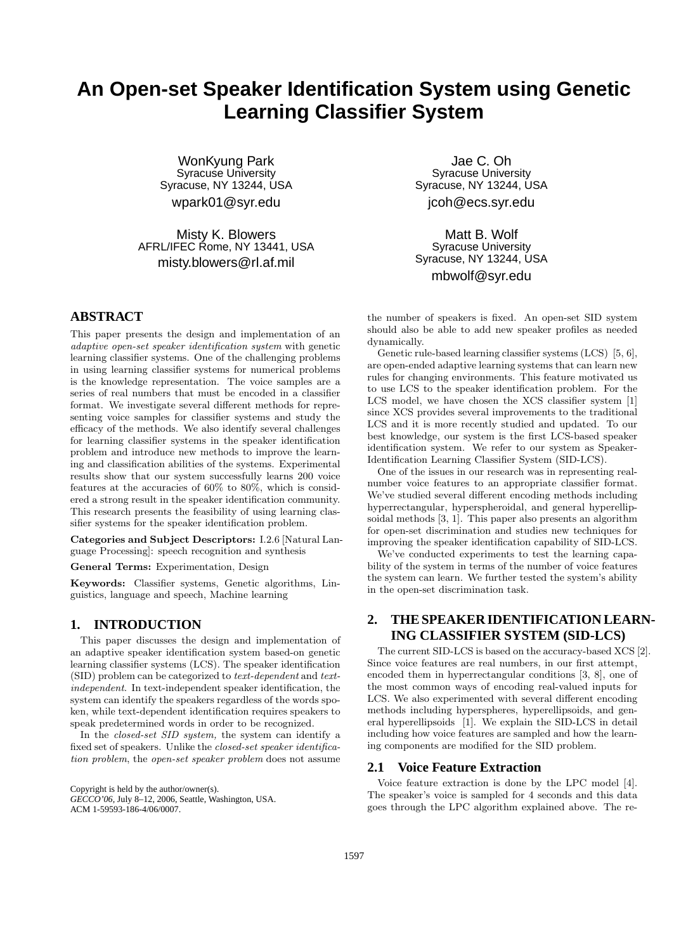# **An Open-set Speaker Identification System using Genetic Learning Classifier System**

WonKyung Park Syracuse University Syracuse, NY 13244, USA wpark01@syr.edu

Misty K. Blowers AFRL/IFEC Rome, NY 13441, USA misty.blowers@rl.af.mil

**ABSTRACT**

This paper presents the design and implementation of an adaptive open-set speaker identification system with genetic learning classifier systems. One of the challenging problems in using learning classifier systems for numerical problems is the knowledge representation. The voice samples are a series of real numbers that must be encoded in a classifier format. We investigate several different methods for representing voice samples for classifier systems and study the efficacy of the methods. We also identify several challenges for learning classifier systems in the speaker identification problem and introduce new methods to improve the learning and classification abilities of the systems. Experimental results show that our system successfully learns 200 voice features at the accuracies of 60% to 80%, which is considered a strong result in the speaker identification community. This research presents the feasibility of using learning classifier systems for the speaker identification problem.

Categories and Subject Descriptors: I.2.6 [Natural Language Processing]: speech recognition and synthesis

General Terms: Experimentation, Design

Keywords: Classifier systems, Genetic algorithms, Linguistics, language and speech, Machine learning

## **1. INTRODUCTION**

This paper discusses the design and implementation of an adaptive speaker identification system based-on genetic learning classifier systems (LCS). The speaker identification (SID) problem can be categorized to text-dependent and textindependent. In text-independent speaker identification, the system can identify the speakers regardless of the words spoken, while text-dependent identification requires speakers to speak predetermined words in order to be recognized.

In the closed-set SID system, the system can identify a fixed set of speakers. Unlike the closed-set speaker identification problem, the open-set speaker problem does not assume

Copyright is held by the author/owner(s).

*GECCO'06,* July 8–12, 2006, Seattle, Washington, USA. ACM 1-59593-186-4/06/0007.

Jae C. Oh Syracuse University Syracuse, NY 13244, USA jcoh@ecs.syr.edu

Matt B. Wolf Syracuse University Syracuse, NY 13244, USA mbwolf@syr.edu

the number of speakers is fixed. An open-set SID system should also be able to add new speaker profiles as needed dynamically.

Genetic rule-based learning classifier systems (LCS) [5, 6], are open-ended adaptive learning systems that can learn new rules for changing environments. This feature motivated us to use LCS to the speaker identification problem. For the LCS model, we have chosen the XCS classifier system [1] since XCS provides several improvements to the traditional LCS and it is more recently studied and updated. To our best knowledge, our system is the first LCS-based speaker identification system. We refer to our system as Speaker-Identification Learning Classifier System (SID-LCS).

One of the issues in our research was in representing realnumber voice features to an appropriate classifier format. We've studied several different encoding methods including hyperrectangular, hyperspheroidal, and general hyperellipsoidal methods [3, 1]. This paper also presents an algorithm for open-set discrimination and studies new techniques for improving the speaker identification capability of SID-LCS.

We've conducted experiments to test the learning capability of the system in terms of the number of voice features the system can learn. We further tested the system's ability in the open-set discrimination task.

## **2. THE SPEAKER IDENTIFICATION LEARN-ING CLASSIFIER SYSTEM (SID-LCS)**

The current SID-LCS is based on the accuracy-based XCS [2]. Since voice features are real numbers, in our first attempt, encoded them in hyperrectangular conditions [3, 8], one of the most common ways of encoding real-valued inputs for LCS. We also experimented with several different encoding methods including hyperspheres, hyperellipsoids, and general hyperellipsoids [1]. We explain the SID-LCS in detail including how voice features are sampled and how the learning components are modified for the SID problem.

### **2.1 Voice Feature Extraction**

Voice feature extraction is done by the LPC model [4]. The speaker's voice is sampled for 4 seconds and this data goes through the LPC algorithm explained above. The re-